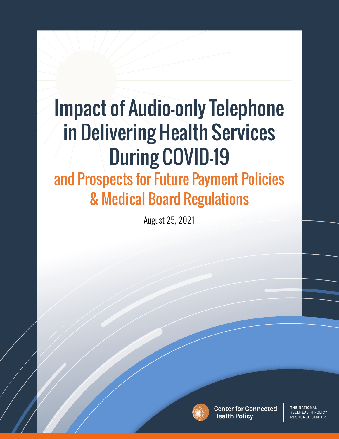Health Services During COVID-19

and Prospects for Future Policies  $\mathcal{P}$ 

# and Prospects for Future Payment Policies & Medical Board Regulations

August 25, 2021



**Center for Connected Health Policy** 

THE NATIONAL TELEHEALTH POLICY **RESOURCE CENTER**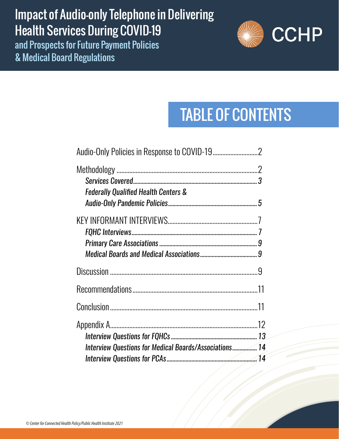## Impact of Audio-only Telephone in Delivering Impact of Audio-only Telephone in Delivering Health Services During COVID-19 Health Services During COVID-19

and Prospects for Future Payment Policies and Prospects for Future Payment Policies & Medical Board Regulations & Medical Board Regulations



# TABLE OF CONTENTS

| <b>Federally Qualified Health Centers &amp;</b>        |  |
|--------------------------------------------------------|--|
|                                                        |  |
|                                                        |  |
|                                                        |  |
|                                                        |  |
| Interview Questions for Medical Boards/Associations 14 |  |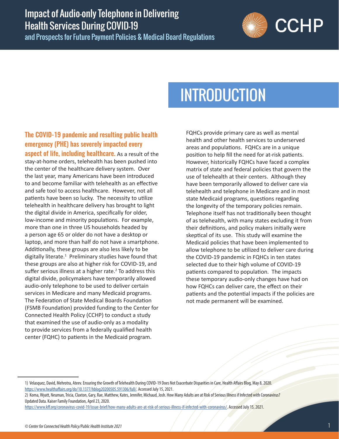and Prospects for Future Payment Policies & Medical Board Regulations



# INTRODUCTION

### The COVID-19 pandemic and resulting public health emergency (PHE) has severely impacted every

**aspect of life, including healthcare.** As a result of the stay-at-home orders, telehealth has been pushed into the center of the healthcare delivery system. Over the last year, many Americans have been introduced to and become familiar with telehealth as an effective and safe tool to access healthcare. However, not all patients have been so lucky. The necessity to utilize telehealth in healthcare delivery has brought to light the digital divide in America, specifically for older, low-income and minority populations. For example, more than one in three US households headed by a person age 65 or older do not have a desktop or laptop, and more than half do not have a smartphone. Additionally, these groups are also less likely to be digitally literate.<sup>1</sup> Preliminary studies have found that these groups are also at higher risk for COVID-19, and suffer serious illness at a higher rate. $2$  To address this digital divide, policymakers have temporarily allowed audio-only telephone to be used to deliver certain services in Medicare and many Medicaid programs. The Federation of State Medical Boards Foundation (FSMB Foundation) provided funding to the Center for Connected Health Policy (CCHP) to conduct a study that examined the use of audio-only as a modality to provide services from a federally qualified health center (FQHC) to patients in the Medicaid program.

FQHCs provide primary care as well as mental health and other health services to underserved areas and populations. FQHCs are in a unique position to help fill the need for at-risk patients. However, historically FQHCs have faced a complex matrix of state and federal policies that govern the use of telehealth at their centers. Although they have been temporarily allowed to deliver care via telehealth and telephone in Medicare and in most state Medicaid programs, questions regarding the longevity of the temporary policies remain. Telephone itself has not traditionally been thought of as telehealth, with many states excluding it from their definitions, and policy makers initially were skeptical of its use. This study will examine the Medicaid policies that have been implemented to allow telephone to be utilized to deliver care during the COVID-19 pandemic in FQHCs in ten states selected due to their high volume of COVID-19 patients compared to population. The impacts these temporary audio-only changes have had on how FQHCs can deliver care, the effect on their patients and the potential impacts if the policies are not made permanent will be examined.

<sup>1)</sup> Velasquez, David, Mehrotra, Ateev. Ensuring the Growth of Telehealth During COVID-19 Does Not Exacerbate Disparities in Care, Health Affairs Blog, May 8, 2020. <https://www.healthaffairs.org/do/10.1377/hblog20200505.591306/full/>. Accessed July 15, 2021.

<sup>2)</sup> Koma, Wyatt, Neuman, Tricia, Claxton, Gary, Rae, Matthew, Kates, Jennifer, Michaud, Josh. How Many Adults are at Risk of Serious Illness if Infected with Coronavirus? Updated Data. Kaiser Family Foundation, April 23, 2020.

<https://www.kff.org/coronavirus-covid-19/issue-brief/how-many-adults-are-at-risk-of-serious-illness-if-infected-with-coronavirus/>. Accessed July 15, 2021.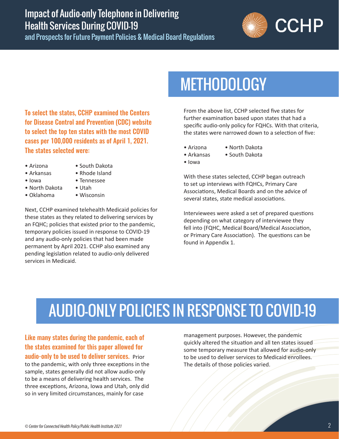<span id="page-3-0"></span>and Prospects for Future Payment Policies & Medical Board Regulations



To select the states, CCHP examined the Centers for Disease Control and Prevention (CDC) website to select the top ten states with the most COVID cases per 100,000 residents as of April 1, 2021. The states selected were:

- Arizona
- South Dakota
- Arkansas • Iowa
- Rhode Island
- Tennessee
- North Dakota
- Oklahoma
- Utah
- Wisconsin

Next, CCHP examined telehealth Medicaid policies for these states as they related to delivering services by an FQHC; policies that existed prior to the pandemic, temporary policies issued in response to COVID-19 and any audio-only policies that had been made permanent by April 2021. CCHP also examined any pending legislation related to audio-only delivered services in Medicaid.

# **METHODOLOGY**

From the above list, CCHP selected five states for further examination based upon states that had a specific audio-only policy for FQHCs. With that criteria, the states were narrowed down to a selection of five:

- Arizona
- North Dakota • South Dakota
- Arkansas • Iowa

With these states selected, CCHP began outreach to set up interviews with FQHCs, Primary Care Associations, Medical Boards and on the advice of several states, state medical associations.

Interviewees were asked a set of prepared questions depending on what category of interviewee they fell into (FQHC, Medical Board/Medical Association, or Primary Care Association). The questions can be found in Appendix 1.

# AUDIO-ONLY POLICIES IN RESPONSE TO COVID-19

Like many states during the pandemic, each of the states examined for this paper allowed for audio-only to be used to deliver services. Prior to the pandemic, with only three exceptions in the sample, states generally did not allow audio-only to be a means of delivering health services. The

three exceptions, Arizona, Iowa and Utah, only did so in very limited circumstances, mainly for case

management purposes. However, the pandemic quickly altered the situation and all ten states issued some temporary measure that allowed for audio-only to be used to deliver services to Medicaid enrollees. The details of those policies varied.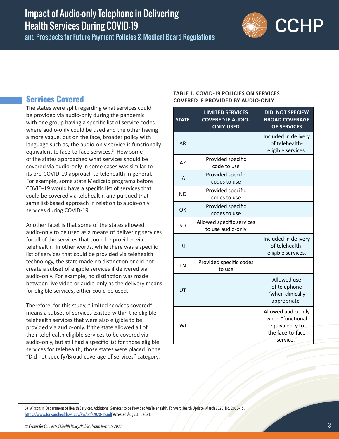<span id="page-4-0"></span>and Prospects for Future Payment Policies & Medical Board Regulations



#### **Services Covered**

The states were split regarding what services could be provided via audio-only during the pandemic with one group having a specific list of service codes where audio-only could be used and the other having a more vague, but on the face, broader policy with language such as, the audio-only service is functionally equivalent to face-to-face services.<sup>3</sup> How some of the states approached what services should be covered via audio-only in some cases was similar to its pre-COVID-19 approach to telehealth in general. For example, some state Medicaid programs before COVID-19 would have a specific list of services that could be covered via telehealth, and pursued that same list-based approach in relation to audio-only services during COVID-19.

Another facet is that some of the states allowed audio-only to be used as a means of delivering services for all of the services that could be provided via telehealth. In other words, while there was a specific list of services that could be provided via telehealth technology, the state made no distinction or did not create a subset of eligible services if delivered via audio-only. For example, no distinction was made between live video or audio-only as the delivery means for eligible services, either could be used.

Therefore, for this study, "limited services covered" means a subset of services existed within the eligible telehealth services that were also eligible to be provided via audio-only. If the state allowed all of their telehealth eligible services to be covered via audio-only, but still had a specific list for those eligible services for telehealth, those states were placed in the "Did not specify/Broad coverage of services" category.

#### **TABLE 1. COVID-19 POLICIES ON SERVICES COVERED IF PROVIDED BY AUDIO-ONLY**

| <b>STATE</b> | <b>LIMITED SERVICES</b><br><b>COVERED IF AUDIO-</b><br><b>ONLY USED</b> | DID NOT SPECIFY/<br><b>BROAD COVERAGE</b><br><b>OF SERVICES</b>                           |
|--------------|-------------------------------------------------------------------------|-------------------------------------------------------------------------------------------|
| <b>AR</b>    |                                                                         | Included in delivery<br>of telehealth-<br>eligible services.                              |
| <b>AZ</b>    | Provided specific<br>code to use                                        |                                                                                           |
| IA           | Provided specific<br>codes to use                                       |                                                                                           |
| <b>ND</b>    | Provided specific<br>codes to use                                       |                                                                                           |
| OK           | Provided specific<br>codes to use                                       |                                                                                           |
| <b>SD</b>    | Allowed specific services<br>to use audio-only                          |                                                                                           |
| <b>RI</b>    |                                                                         | Included in delivery<br>of telehealth-<br>eligible services.                              |
| <b>TN</b>    | Provided specific codes<br>to use                                       |                                                                                           |
| UT           |                                                                         | Allowed use<br>of telephone<br>"when clinically<br>appropriate"                           |
| WI           |                                                                         | Allowed audio-only<br>when "functional<br>equivalency to<br>the face-to-face<br>service." |

<sup>3)</sup> Wisconsin Department of Health Services. Additional Services to be Provided Via Telehealth. ForwardHealth Update, March 2020, No. 2020-15. <https://www.forwardhealth.wi.gov/kw/pdf/2020-15.pdf>Accessed August 1, 2021.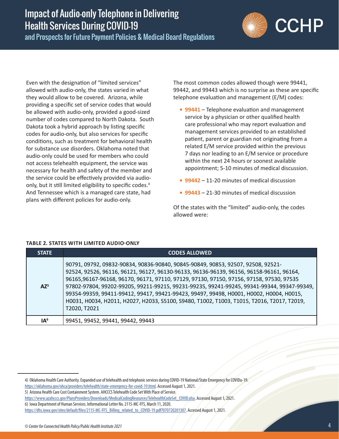

Even with the designation of "limited services" allowed with audio-only, the states varied in what they would allow to be covered. Arizona, while providing a specific set of service codes that would be allowed with audio-only, provided a good-sized number of codes compared to North Dakota. South Dakota took a hybrid approach by listing specific codes for audio-only, but also services for specific conditions, such as treatment for behavioral health for substance use disorders. Oklahoma noted that audio-only could be used for members who could not access telehealth equipment, the service was necessary for health and safety of the member and the service could be effectively provided via audioonly, but it still limited eligibility to specific codes.<sup>4</sup> And Tennessee which is a managed care state, had plans with different policies for audio-only.

The most common codes allowed though were 99441, 99442, and 99443 which is no surprise as these are specific telephone evaluation and management (E/M) codes:

- **• 99441** Telephone evaluation and management service by a physician or other qualified health care professional who may report evaluation and management services provided to an established patient, parent or guardian not originating from a related E/M service provided within the previous 7 days nor leading to an E/M service or procedure within the next 24 hours or soonest available appointment; 5-10 minutes of medical discussion.
- **• 99442** 11-20 minutes of medical discussion
- **• 99443** 21-30 minutes of medical discussion

Of the states with the "limited" audio-only, the codes allowed were:

| <b>STATE</b>    | <b>CODES ALLOWED</b>                                                                                                                                                                                                                                                                                                                                                                                                                                                                                                                                                          |
|-----------------|-------------------------------------------------------------------------------------------------------------------------------------------------------------------------------------------------------------------------------------------------------------------------------------------------------------------------------------------------------------------------------------------------------------------------------------------------------------------------------------------------------------------------------------------------------------------------------|
| $AZ^5$          | 90791, 09792, 09832-90834, 90836-90840, 90845-90849, 90853, 92507, 92508, 92521-<br>92524, 92526, 96116, 96121, 96127, 96130-96133, 96136-96139, 96156, 96158-96161, 96164,<br>96165,96167-96168, 96170, 96171, 97110, 97129, 97130, 97150, 97156, 97158, 97530, 97535<br>97802-97804, 99202-99205, 99211-99215, 99231-99235, 99241-99245, 99341-99344, 99347-99349,<br>99354-99359, 99411-99412, 99417, 99421-99423, 99497, 99498, H0001, H0002, H0004, H0015,<br>H0031, H0034, H2011, H2027, H2033, S5100, S9480, T1002, T1003, T1015, T2016, T2017, T2019,<br>T2020, T2021 |
| IA <sup>6</sup> | 99451, 99452, 99441, 99442, 99443                                                                                                                                                                                                                                                                                                                                                                                                                                                                                                                                             |

#### **TABLE 2. STATES WITH LIMITED AUDIO-ONLY**

<sup>4)</sup> Oklahoma Health Care Authority. Expanded use of telehealth and telephonic services during COVID-19 National/State Emergency for COVIDu-19. <https://oklahoma.gov/ohca/providers/telehealth/state-emergency-for-covid-19.html>. Accessed August 1, 2021.

<sup>5)</sup> Arizona Health Care Cost Containment System. AHCCCS Telehealth Code Set With Place of Service.

[https://www.azahcccs.gov/PlansProviders/Downloads/MedicalCodingResources/TelehealthCodeSet\\_COVID.xlsx.](https://www.azahcccs.gov/PlansProviders/Downloads/MedicalCodingResources/TelehealthCodeSet_COVID.xlsx) Accessed August 1, 2021.

<sup>6)</sup> Iowa Department of Human Services. Informational Letter No. 2115-MC-FFS, March 11, 2020.

[https://dhs.iowa.gov/sites/default/files/2115-MC-FFS\\_Billing\\_related\\_to\\_COVID-19.pdf?070720201307.](https://dhs.iowa.gov/sites/default/files/2115-MC-FFS_Billing_related_to_COVID-19.pdf?070720201307) Accessed August 1, 2021.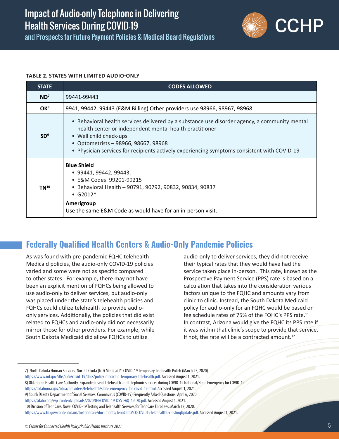

<span id="page-6-0"></span>and Prospects for Future Payment Policies & Medical Board Regulations

#### **TABLE 2. STATES WITH LIMITED AUDIO-ONLY**

| <b>STATE</b>    | <b>CODES ALLOWED</b>                                                                                                                                                                                                                                                                                                      |  |  |  |  |
|-----------------|---------------------------------------------------------------------------------------------------------------------------------------------------------------------------------------------------------------------------------------------------------------------------------------------------------------------------|--|--|--|--|
| ND <sup>7</sup> | 99441-99443                                                                                                                                                                                                                                                                                                               |  |  |  |  |
| OK <sup>8</sup> | 9941, 99442, 99443 (E&M Billing) Other providers use 98966, 98967, 98968                                                                                                                                                                                                                                                  |  |  |  |  |
| SD <sup>9</sup> | • Behavioral health services delivered by a substance use disorder agency, a community mental<br>health center or independent mental health practitioner<br>• Well child check-ups<br>• Optometrists - 98966, 98667, 98968<br>• Physician services for recipients actively experiencing symptoms consistent with COVID-19 |  |  |  |  |
| $TN^{10}$       | <b>Blue Shield</b><br>$\bullet$ 99441, 99442, 99443,<br>• E&M Codes: 99201-99215<br>• Behavioral Health - 90791, 90792, 90832, 90834, 90837<br>• $G2012*$<br><b>Amerigroup</b><br>Use the same E&M Code as would have for an in-person visit.                                                                             |  |  |  |  |

### **Federally Qualified Health Centers & Audio-Only Pandemic Policies**

As was found with pre-pandemic FQHC telehealth Medicaid policies, the audio-only COVID-19 policies varied and some were not as specific compared to other states. For example, there may not have been an explicit mention of FQHCs being allowed to use audio-only to deliver services, but audio-only was placed under the state's telehealth policies and FQHCs could utilize telehealth to provide audioonly services. Additionally, the policies that did exist related to FQHCs and audio-only did not necessarily mirror those for other providers. For example, while South Dakota Medicaid did allow FQHCs to utilize

audio-only to deliver services, they did not receive their typical rates that they would have had the service taken place in-person. This rate, known as the Prospective Payment Service (PPS) rate is based on a calculation that takes into the consideration various factors unique to the FQHC and amounts vary from clinic to clinic. Instead, the South Dakota Medicaid policy for audio-only for an FQHC would be based on fee schedule rates of 75% of the FQHC's PPS rate.11 In contrast, Arizona would give the FQHC its PPS rate if it was within that clinic's scope to provide that service. If not, the rate will be a contracted amount. $^{12}$ 

<sup>7)</sup> North Dakota Human Services. North Dakota (ND) Medicaid\*: COVID-19 Temporary Telehealth Polich (March 25, 2020).

[https://www.nd.gov/dhs/info/covid-19/docs/policy-medicaid-temporary-telehealth.pdf.](https://www.nd.gov/dhs/info/covid-19/docs/policy-medicaid-temporary-telehealth.pdf) Accessed August 1, 2021.

<sup>8)</sup> Oklahoma Health Care Authority. Expanded use of telehealth and telephonic services during COVID-19 National/State Emergency for COVID-19.

<https://oklahoma.gov/ohca/providers/telehealth/state-emergency-for-covid-19.html>. Accessed August 1, 2021.

<sup>9)</sup> South Dakota Department of Social Services. Coronavirus (COVID-19) Frequently Asked Questions. April 6, 2020.

[https://sdaho.org/wp-content/uploads/2020/04/COVID-19-DSS-FAQ-4.6.20.pdf.](https://sdaho.org/wp-content/uploads/2020/04/COVID-19-DSS-FAQ-4.6.20.pdf) Accessed August 1, 2021.

<sup>10)</sup> Division of TennCare. Novel COVID-19 Testing and Telehealth Services for TennCare Enrollees, March 17, 2020.

[https://www.tn.gov/content/dam/tn/tenncare/documents/TennCareMCOCOVID19TelehealthDxTestingUpdate.pdf.](https://www.tn.gov/content/dam/tn/tenncare/documents/TennCareMCOCOVID19TelehealthDxTestingUpdate.pdf) Accessed August 1, 2021.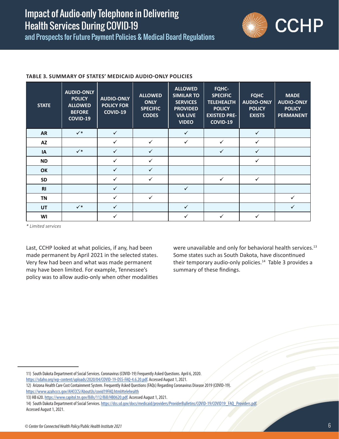and Prospects for Future Payment Policies & Medical Board Regulations



#### **TABLE 3. SUMMARY OF STATES' MEDICAID AUDIO-ONLY POLICIES**

| <b>STATE</b>   | <b>AUDIO-ONLY</b><br><b>POLICY</b><br><b>ALLOWED</b><br><b>BEFORE</b><br><b>COVID-19</b> | <b>AUDIO-ONLY</b><br><b>POLICY FOR</b><br>COVID-19 | <b>ALLOWED</b><br><b>ONLY</b><br><b>SPECIFIC</b><br><b>CODES</b> | <b>ALLOWED</b><br><b>SIMILAR TO</b><br><b>SERVICES</b><br><b>PROVIDED</b><br><b>VIA LIVE</b><br><b>VIDEO</b> | FQHC-<br><b>SPECIFIC</b><br><b>TELEHEALTH</b><br><b>POLICY</b><br><b>EXISTED PRE-</b><br><b>COVID-19</b> | <b>FQHC</b><br><b>AUDIO-ONLY</b><br><b>POLICY</b><br><b>EXISTS</b> | <b>MADE</b><br><b>AUDIO-ONLY</b><br><b>POLICY</b><br><b>PERMANENT</b> |
|----------------|------------------------------------------------------------------------------------------|----------------------------------------------------|------------------------------------------------------------------|--------------------------------------------------------------------------------------------------------------|----------------------------------------------------------------------------------------------------------|--------------------------------------------------------------------|-----------------------------------------------------------------------|
| <b>AR</b>      | $\checkmark^*$                                                                           | $\checkmark$                                       |                                                                  | $\checkmark$                                                                                                 |                                                                                                          | $\checkmark$                                                       |                                                                       |
| AZ             |                                                                                          | $\checkmark$                                       | $\checkmark$                                                     | $\checkmark$                                                                                                 | ✓                                                                                                        | $\checkmark$                                                       |                                                                       |
| IA             | $\checkmark^*$                                                                           | ✓                                                  | $\checkmark$                                                     |                                                                                                              | ✓                                                                                                        | $\checkmark$                                                       |                                                                       |
| <b>ND</b>      |                                                                                          | $\checkmark$                                       | $\checkmark$                                                     |                                                                                                              |                                                                                                          | $\checkmark$                                                       |                                                                       |
| <b>OK</b>      |                                                                                          | ✓                                                  | $\checkmark$                                                     |                                                                                                              |                                                                                                          |                                                                    |                                                                       |
| <b>SD</b>      |                                                                                          | $\checkmark$                                       | $\checkmark$                                                     |                                                                                                              | ✓                                                                                                        | $\checkmark$                                                       |                                                                       |
| R <sub>l</sub> |                                                                                          | ✓                                                  |                                                                  | $\checkmark$                                                                                                 |                                                                                                          |                                                                    |                                                                       |
| <b>TN</b>      |                                                                                          | ✓                                                  | $\checkmark$                                                     |                                                                                                              |                                                                                                          |                                                                    | $\checkmark$                                                          |
| UT             | $\checkmark^*$                                                                           | ✓                                                  |                                                                  | $\checkmark$                                                                                                 |                                                                                                          |                                                                    | $\checkmark$                                                          |
| WI             |                                                                                          | ✓                                                  |                                                                  | $\checkmark$                                                                                                 | ✓                                                                                                        | ✓                                                                  |                                                                       |

*\* Limited services*

Last, CCHP looked at what policies, if any, had been made permanent by April 2021 in the selected states. Very few had been and what was made permanent may have been limited. For example, Tennessee's policy was to allow audio-only when other modalities were unavailable and only for behavioral health services.<sup>13</sup> Some states such as South Dakota, have discontinued their temporary audio-only policies.<sup>14</sup> Table 3 provides a summary of these findings.

<https://www.azahcccs.gov/AHCCCS/AboutUs/covid19FAQ.html#telehealth>

<sup>11)</sup> South Dakota Department of Social Services. Coronavirus (COVID-19) Frequently Asked Questions. April 6, 2020.

<https://sdaho.org/wp-content/uploads/2020/04/COVID-19-DSS-FAQ-4.6.20.pdf>. Accessed August 1, 2021.

<sup>12)</sup> Arizona Health Care Cost Containment System. Frequently Asked Questions (FAQs) Regarding Coronavirus Disease 2019 (COVID-19).

<sup>13)</sup> HB 620. <https://www.capitol.tn.gov/Bills/112/Bill/HB0620.pdf>. Accessed August 1, 2021.

<sup>14)</sup> South Dakota Department of Social Services. [https://dss.sd.gov/docs/medicaid/providers/ProviderBulletins/COVID-19/COVID19\\_FAQ\\_Providers.pdf](https://dss.sd.gov/docs/medicaid/providers/ProviderBulletins/COVID-19/COVID19_FAQ_Providers.pdf). Accessed August 1, 2021.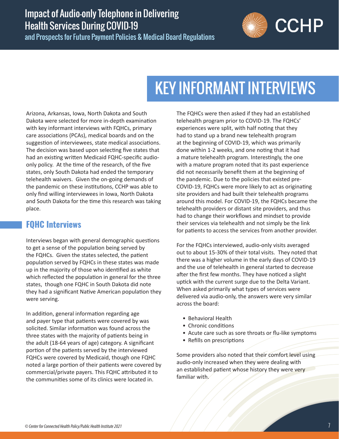<span id="page-8-0"></span>and Prospects for Future Payment Policies & Medical Board Regulations



# KEY INFORMANT INTERVIEWS

Arizona, Arkansas, Iowa, North Dakota and South Dakota were selected for more in-depth examination with key informant interviews with FQHCs, primary care associations (PCAs), medical boards and on the suggestion of interviewees, state medical associations. The decision was based upon selecting five states that had an existing written Medicaid FQHC-specific audioonly policy. At the time of the research, of the five states, only South Dakota had ended the temporary telehealth waivers. Given the on-going demands of the pandemic on these institutions, CCHP was able to only find willing interviewees in Iowa, North Dakota and South Dakota for the time this research was taking place.

### **FQHC Interviews**

Interviews began with general demographic questions to get a sense of the population being served by the FQHCs. Given the states selected, the patient population served by FQHCs in these states was made up in the majority of those who identified as white which reflected the population in general for the three states, though one FQHC in South Dakota did note they had a significant Native American population they were serving.

In addition, general information regarding age and payer type that patients were covered by was solicited. Similar information was found across the three states with the majority of patients being in the adult (18-64 years of age) category. A significant portion of the patients served by the interviewed FQHCs were covered by Medicaid, though one FQHC noted a large portion of their patients were covered by commercial/private payers. This FQHC attributed it to the communities some of its clinics were located in.

The FQHCs were then asked if they had an established telehealth program prior to COVID-19. The FQHCs' experiences were split, with half noting that they had to stand up a brand new telehealth program at the beginning of COVID-19, which was primarily done within 1-2 weeks, and one noting that it had a mature telehealth program. Interestingly, the one with a mature program noted that its past experience did not necessarily benefit them at the beginning of the pandemic. Due to the policies that existed pre-COVID-19, FQHCs were more likely to act as originating site providers and had built their telehealth programs around this model. For COVID-19, the FQHCs became the telehealth providers or distant site providers, and thus had to change their workflows and mindset to provide their services via telehealth and not simply be the link for patients to access the services from another provider.

For the FQHCs interviewed, audio-only visits averaged out to about 15-30% of their total visits. They noted that there was a higher volume in the early days of COVID-19 and the use of telehealth in general started to decrease after the first few months. They have noticed a slight uptick with the current surge due to the Delta Variant. When asked primarily what types of services were delivered via audio-only, the answers were very similar across the board:

- Behavioral Health
- Chronic conditions
- Acute care such as sore throats or flu-like symptoms
- Refills on prescriptions

Some providers also noted that their comfort level using audio-only increased when they were dealing with an established patient whose history they were very familiar with.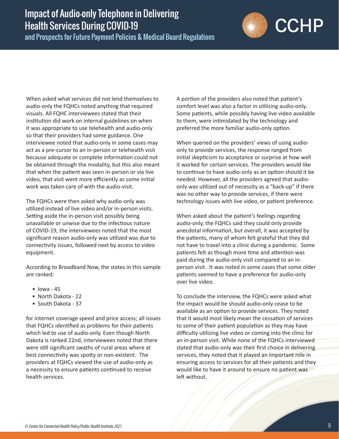and Prospects for Future Payment Policies & Medical Board Regulations



When asked what services did not lend themselves to audio-only the FQHCs noted anything that required visuals. All FQHC interviewees stated that their institution did work on internal guidelines on when it was appropriate to use telehealth and audio-only so that their providers had some guidance. One interviewee noted that audio-only in some cases may act as a pre-cursor to an in-person or telehealth visit because adequate or complete information could not be obtained through the modality, but this also meant that when the patient was seen in-person or via live video, that visit went more efficiently as some initial work was taken care of with the audio-visit.

The FQHCs were then asked why audio-only was utilized instead of live video and/or in-person visits. Setting aside the in-person visit possibly being unavailable or unwise due to the infectious nature of COVID-19, the interviewees noted that the most significant reason audio-only was utilized was due to connectivity issues, followed next by access to video equipment.

According to Broadband Now, the states in this sample are ranked:

- $\bullet$  lowa 45
- North Dakota 22
- South Dakota 37

for internet coverage speed and price access; all issues that FQHCs identified as problems for their patients which led to use of audio-only. Even though North Dakota is ranked 22nd, interviewees noted that there were still significant swaths of rural areas where at best connectivity was spotty or non-existent. The providers at FQHCs viewed the use of audio-only as a necessity to ensure patients continued to receive health services.

A portion of the providers also noted that patient's comfort level was also a factor in utilizing audio-only. Some patients, while possibly having live video available to them, were intimidated by the technology and preferred the more familiar audio-only option.

When queried on the providers' views of using audioonly to provide services, the response ranged from initial skepticism to acceptance or surprise at how well it worked for certain services. The providers would like to continue to have audio-only as an option should it be needed. However, all the providers agreed that audioonly was utilized out of necessity as a "back-up" if there was no other way to provide services, if there were technology issues with live video, or patient preference.

When asked about the patient's feelings regarding audio-only, the FQHCs said they could only provide anecdotal information, but overall, it was accepted by the patients, many of whom felt grateful that they did not have to travel into a clinic during a pandemic. Some patients felt as though more time and attention was paid during the audio-only visit compared to an inperson visit. It was noted in some cases that some older patients seemed to have a preference for audio-only over live video.

To conclude the interview, the FQHCs were asked what the impact would be should audio-only cease to be available as an option to provide services. They noted that it would most likely mean the cessation of services to some of their patient population as they may have difficulty utilizing live video or coming into the clinic for an in-person visit. While none of the FQHCs interviewed stated that audio-only was their first choice in delivering services, they noted that it played an important role in ensuring access to services for all their patients and they would like to have it around to ensure no patient was left without.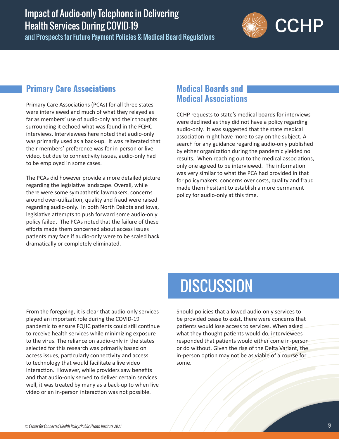<span id="page-10-0"></span>and Prospects for Future Payment Policies & Medical Board Regulations



### **Primary Care Associations**

Primary Care Associations (PCAs) for all three states were interviewed and much of what they relayed as far as members' use of audio-only and their thoughts surrounding it echoed what was found in the FQHC interviews. Interviewees here noted that audio-only was primarily used as a back-up. It was reiterated that their members' preference was for in-person or live video, but due to connectivity issues, audio-only had to be employed in some cases.

The PCAs did however provide a more detailed picture regarding the legislative landscape. Overall, while there were some sympathetic lawmakers, concerns around over-utilization, quality and fraud were raised regarding audio-only. In both North Dakota and Iowa, legislative attempts to push forward some audio-only policy failed. The PCAs noted that the failure of these efforts made them concerned about access issues patients may face if audio-only were to be scaled back dramatically or completely eliminated.

#### **Medical Boards and Medical Associations**

CCHP requests to state's medical boards for interviews were declined as they did not have a policy regarding audio-only. It was suggested that the state medical association might have more to say on the subject. A search for any guidance regarding audio-only published by either organization during the pandemic yielded no results. When reaching out to the medical associations, only one agreed to be interviewed. The information was very similar to what the PCA had provided in that for policymakers, concerns over costs, quality and fraud made them hesitant to establish a more permanent policy for audio-only at this time.

From the foregoing, it is clear that audio-only services played an important role during the COVID-19 pandemic to ensure FQHC patients could still continue to receive health services while minimizing exposure to the virus. The reliance on audio-only in the states selected for this research was primarily based on access issues, particularly connectivity and access to technology that would facilitate a live video interaction. However, while providers saw benefits and that audio-only served to deliver certain services well, it was treated by many as a back-up to when live video or an in-person interaction was not possible.

## **DISCUSSION**

Should policies that allowed audio-only services to be provided cease to exist, there were concerns that patients would lose access to services. When asked what they thought patients would do, interviewees responded that patients would either come in-person or do without. Given the rise of the Delta Variant, the in-person option may not be as viable of a course for some.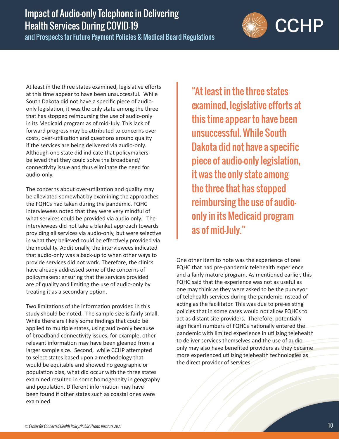and Prospects for Future Payment Policies & Medical Board Regulations

At least in the three states examined, legislative efforts at this time appear to have been unsuccessful. While South Dakota did not have a specific piece of audioonly legislation, it was the only state among the three that has stopped reimbursing the use of audio-only in its Medicaid program as of mid-July. This lack of forward progress may be attributed to concerns over costs, over-utilization and questions around quality if the services are being delivered via audio-only. Although one state did indicate that policymakers believed that they could solve the broadband/ connectivity issue and thus eliminate the need for audio-only.

The concerns about over-utilization and quality may be alleviated somewhat by examining the approaches the FQHCs had taken during the pandemic. FQHC interviewees noted that they were very mindful of what services could be provided via audio only. The interviewees did not take a blanket approach towards providing all services via audio-only, but were selective in what they believed could be effectively provided via the modality. Additionally, the interviewees indicated that audio-only was a back-up to when other ways to provide services did not work. Therefore, the clinics have already addressed some of the concerns of policymakers: ensuring that the services provided are of quality and limiting the use of audio-only by treating it as a secondary option.

Two limitations of the information provided in this study should be noted. The sample size is fairly small. While there are likely some findings that could be applied to multiple states, using audio-only because of broadband connectivity issues, for example, other relevant information may have been gleaned from a larger sample size. Second, while CCHP attempted to select states based upon a methodology that would be equitable and showed no geographic or population bias, what did occur with the three states examined resulted in some homogeneity in geography and population. Different information may have been found if other states such as coastal ones were examined.

"At least in the three states examined, legislative efforts at this time appear to have been unsuccessful. While South Dakota did not have a specific piece of audio-only legislation, it was the only state among the three that has stopped reimbursing the use of audioonly in its Medicaid program as of mid-July."

One other item to note was the experience of one FQHC that had pre-pandemic telehealth experience and a fairly mature program. As mentioned earlier, this FQHC said that the experience was not as useful as one may think as they were asked to be the purveyor of telehealth services during the pandemic instead of acting as the facilitator. This was due to pre-existing policies that in some cases would not allow FQHCs to act as distant site providers. Therefore, potentially significant numbers of FQHCs nationally entered the pandemic with limited experience in utilizing telehealth to deliver services themselves and the use of audioonly may also have benefited providers as they became more experienced utilizing telehealth technologies as the direct provider of services.

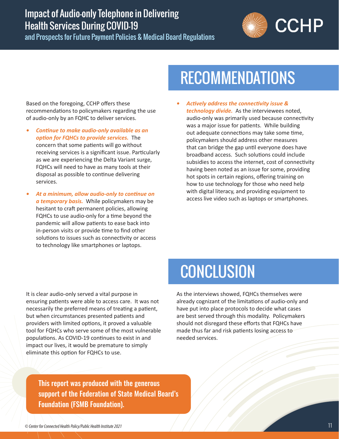<span id="page-12-0"></span>and Prospects for Future Payment Policies & Medical Board Regulations



# RECOMMENDATIONS

Based on the foregoing, CCHP offers these recommendations to policymakers regarding the use of audio-only by an FQHC to deliver services.

- *• Continue to make audio-only available as an option for FQHCs to provide services.* The concern that some patients will go without receiving services is a significant issue. Particularly as we are experiencing the Delta Variant surge, FQHCs will need to have as many tools at their disposal as possible to continue delivering services.
- *• At a minimum, allow audio-only to continue on a temporary basis.* While policymakers may be hesitant to craft permanent policies, allowing FQHCs to use audio-only for a time beyond the pandemic will allow patients to ease back into in-person visits or provide time to find other solutions to issues such as connectivity or access to technology like smartphones or laptops.
- *• Actively address the connectivity issue & technology divide.* As the interviewees noted, audio-only was primarily used because connectivity was a major issue for patients. While building out adequate connections may take some time, policymakers should address other measures that can bridge the gap until everyone does have broadband access. Such solutions could include subsidies to access the internet, cost of connectivity having been noted as an issue for some, providing hot spots in certain regions, offering training on how to use technology for those who need help with digital literacy, and providing equipment to access live video such as laptops or smartphones.

It is clear audio-only served a vital purpose in ensuring patients were able to access care. It was not necessarily the preferred means of treating a patient, but when circumstances presented patients and providers with limited options, it proved a valuable tool for FQHCs who serve some of the most vulnerable populations. As COVID-19 continues to exist in and impact our lives, it would be premature to simply eliminate this option for FQHCs to use.

# **CONCLUSION**

As the interviews showed, FQHCs themselves were already cognizant of the limitations of audio-only and have put into place protocols to decide what cases are best served through this modality. Policymakers should not disregard these efforts that FQHCs have made thus far and risk patients losing access to needed services.

This report was produced with the generous support of the Federation of State Medical Board's Foundation (FSMB Foundation).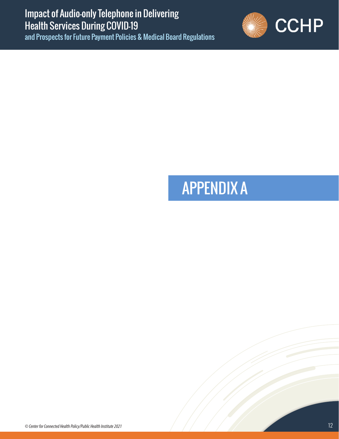<span id="page-13-0"></span>and Prospects for Future Payment Policies & Medical Board Regulations



# APPENDIX A

*© Center for Connected Health Policy/Public Health Institute 2021* 12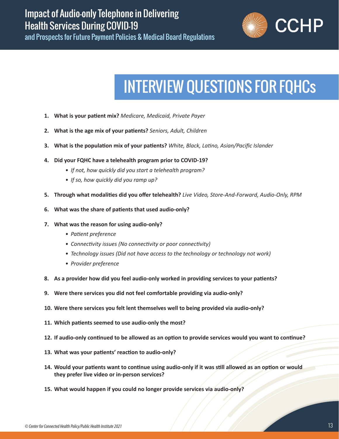

# INTERVIEW QUESTIONS FOR FQHCs

- <span id="page-14-0"></span>**1. What is your patient mix?** *Medicare, Medicaid, Private Payer*
- **2. What is the age mix of your patients?** *Seniors, Adult, Children*
- **3. What is the population mix of your patients?** *White, Black, Latino, Asian/Pacific Islander*
- **4. Did your FQHC have a telehealth program prior to COVID-19?**
	- *• If not, how quickly did you start a telehealth program?*
	- *• If so, how quickly did you ramp up?*
- **5. Through what modalities did you offer telehealth?** *Live Video, Store-And-Forward, Audio-Only, RPM*
- **6. What was the share of patients that used audio-only?**
- **7. What was the reason for using audio-only?**
	- *• Patient preference*
	- *• Connectivity issues (No connectivity or poor connectivity)*
	- *• Technology issues (Did not have access to the technology or technology not work)*
	- *• Provider preference*
- **8. As a provider how did you feel audio-only worked in providing services to your patients?**
- **9. Were there services you did not feel comfortable providing via audio-only?**
- **10. Were there services you felt lent themselves well to being provided via audio-only?**
- **11. Which patients seemed to use audio-only the most?**
- **12. If audio-only continued to be allowed as an option to provide services would you want to continue?**
- **13. What was your patients' reaction to audio-only?**
- **14. Would your patients want to continue using audio-only if it was still allowed as an option or would they prefer live video or in-person services?**
- **15. What would happen if you could no longer provide services via audio-only?**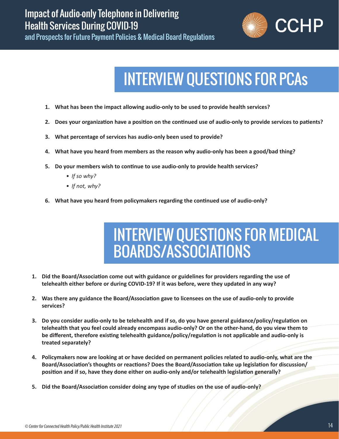<span id="page-15-0"></span>and Prospects for Future Payment Policies & Medical Board Regulations



# INTERVIEW QUESTIONS FOR PCAs

- **1. What has been the impact allowing audio-only to be used to provide health services?**
- **2. Does your organization have a position on the continued use of audio-only to provide services to patients?**
- **3. What percentage of services has audio-only been used to provide?**
- **4. What have you heard from members as the reason why audio-only has been a good/bad thing?**
- **5. Do your members wish to continue to use audio-only to provide health services?**
	- *• If so why?*
	- *• If not, why?*
- **6. What have you heard from policymakers regarding the continued use of audio-only?**

## INTERVIEW QUESTIONS FOR MEDICAL BOARDS/ASSOCIATIONS

- **1. Did the Board/Association come out with guidance or guidelines for providers regarding the use of telehealth either before or during COVID-19? If it was before, were they updated in any way?**
- **2. Was there any guidance the Board/Association gave to licensees on the use of audio-only to provide services?**
- **3. Do you consider audio-only to be telehealth and if so, do you have general guidance/policy/regulation on telehealth that you feel could already encompass audio-only? Or on the other-hand, do you view them to be different, therefore existing telehealth guidance/policy/regulation is not applicable and audio-only is treated separately?**
- **4. Policymakers now are looking at or have decided on permanent policies related to audio-only, what are the Board/Association's thoughts or reactions? Does the Board/Association take up legislation for discussion/ position and if so, have they done either on audio-only and/or telehealth legislation generally?**
- **5. Did the Board/Association consider doing any type of studies on the use of audio-only?**